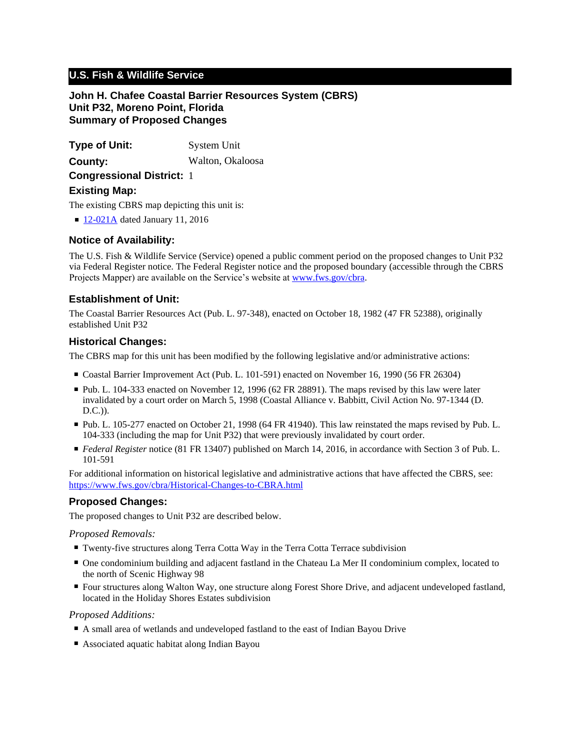# **U.S. Fish & Wildlife Service**

**John H. Chafee Coastal Barrier Resources System (CBRS) Unit P32, Moreno Point, Florida Summary of Proposed Changes**

**Type of Unit:** System Unit **Congressional District:** 1 **County:** Walton, Okaloosa **Existing Map:**

The existing CBRS map depicting this unit is:

■ [12-021A](http://www.fws.gov/cbra/maps/effective/12-021A.pdf) dated January 11, 2016

## **Notice of Availability:**

The U.S. Fish & Wildlife Service (Service) opened a public comment period on the proposed changes to Unit P32 via Federal Register notice. The Federal Register notice and the proposed boundary (accessible through the CBRS Projects Mapper) are available on the Service's website at www.fws.gov/cbra.

## **Establishment of Unit:**

The Coastal Barrier Resources Act (Pub. L. 97-348), enacted on October 18, 1982 (47 FR 52388), originally established Unit P32

#### **Historical Changes:**

The CBRS map for this unit has been modified by the following legislative and/or administrative actions:

- Coastal Barrier Improvement Act (Pub. L. 101-591) enacted on November 16, 1990 (56 FR 26304)
- Pub. L. 104-333 enacted on November 12, 1996 (62 FR 28891). The maps revised by this law were later invalidated by a court order on March 5, 1998 (Coastal Alliance v. Babbitt, Civil Action No. 97-1344 (D. D.C.)).
- Pub. L. 105-277 enacted on October 21, 1998 (64 FR 41940). This law reinstated the maps revised by Pub. L. 104-333 (including the map for Unit P32) that were previously invalidated by court order.
- *Federal Register* notice (81 FR 13407) published on March 14, 2016, in accordance with Section 3 of Pub. L. 101-591

For additional information on historical legislative and administrative actions that have affected the CBRS, see: <https://www.fws.gov/cbra/Historical-Changes-to-CBRA.html>

#### **Proposed Changes:**

The proposed changes to Unit P32 are described below.

*Proposed Removals:*

- Twenty-five structures along Terra Cotta Way in the Terra Cotta Terrace subdivision
- One condominium building and adjacent fastland in the Chateau La Mer II condominium complex, located to the north of Scenic Highway 98
- Four structures along Walton Way, one structure along Forest Shore Drive, and adjacent undeveloped fastland, located in the Holiday Shores Estates subdivision

*Proposed Additions:*

- A small area of wetlands and undeveloped fastland to the east of Indian Bayou Drive
- Associated aquatic habitat along Indian Bayou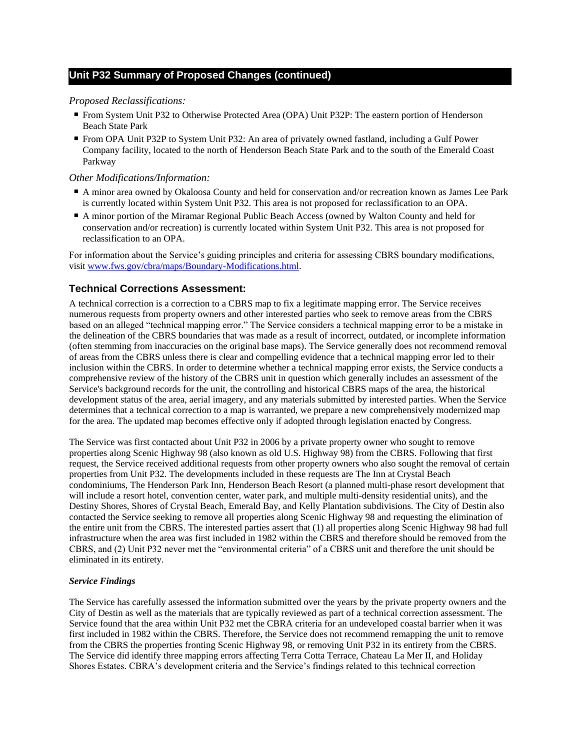#### *Proposed Reclassifications:*

- From System Unit P32 to Otherwise Protected Area (OPA) Unit P32P: The eastern portion of Henderson Beach State Park
- From OPA Unit P32P to System Unit P32: An area of privately owned fastland, including a Gulf Power Company facility, located to the north of Henderson Beach State Park and to the south of the Emerald Coast Parkway

#### *Other Modifications/Information:*

- A minor area owned by Okaloosa County and held for conservation and/or recreation known as James Lee Park is currently located within System Unit P32. This area is not proposed for reclassification to an OPA.
- A minor portion of the Miramar Regional Public Beach Access (owned by Walton County and held for conservation and/or recreation) is currently located within System Unit P32. This area is not proposed for reclassification to an OPA.

For information about the Service's guiding principles and criteria for assessing CBRS boundary modifications, visit www.fws.gov/cbra/maps/Boundary-Modifications.html.

# **Technical Corrections Assessment:**

A technical correction is a correction to a CBRS map to fix a legitimate mapping error. The Service receives numerous requests from property owners and other interested parties who seek to remove areas from the CBRS based on an alleged "technical mapping error." The Service considers a technical mapping error to be a mistake in the delineation of the CBRS boundaries that was made as a result of incorrect, outdated, or incomplete information (often stemming from inaccuracies on the original base maps). The Service generally does not recommend removal of areas from the CBRS unless there is clear and compelling evidence that a technical mapping error led to their inclusion within the CBRS. In order to determine whether a technical mapping error exists, the Service conducts a comprehensive review of the history of the CBRS unit in question which generally includes an assessment of the Service's background records for the unit, the controlling and historical CBRS maps of the area, the historical development status of the area, aerial imagery, and any materials submitted by interested parties. When the Service determines that a technical correction to a map is warranted, we prepare a new comprehensively modernized map for the area. The updated map becomes effective only if adopted through legislation enacted by Congress.

The Service was first contacted about Unit P32 in 2006 by a private property owner who sought to remove properties along Scenic Highway 98 (also known as old U.S. Highway 98) from the CBRS. Following that first request, the Service received additional requests from other property owners who also sought the removal of certain properties from Unit P32. The developments included in these requests are The Inn at Crystal Beach condominiums, The Henderson Park Inn, Henderson Beach Resort (a planned multi-phase resort development that will include a resort hotel, convention center, water park, and multiple multi-density residential units), and the Destiny Shores, Shores of Crystal Beach, Emerald Bay, and Kelly Plantation subdivisions. The City of Destin also contacted the Service seeking to remove all properties along Scenic Highway 98 and requesting the elimination of the entire unit from the CBRS. The interested parties assert that (1) all properties along Scenic Highway 98 had full infrastructure when the area was first included in 1982 within the CBRS and therefore should be removed from the CBRS, and (2) Unit P32 never met the "environmental criteria" of a CBRS unit and therefore the unit should be eliminated in its entirety.

#### *Service Findings*

The Service has carefully assessed the information submitted over the years by the private property owners and the City of Destin as well as the materials that are typically reviewed as part of a technical correction assessment. The Service found that the area within Unit P32 met the CBRA criteria for an undeveloped coastal barrier when it was first included in 1982 within the CBRS. Therefore, the Service does not recommend remapping the unit to remove from the CBRS the properties fronting Scenic Highway 98, or removing Unit P32 in its entirety from the CBRS. The Service did identify three mapping errors affecting Terra Cotta Terrace, Chateau La Mer II, and Holiday Shores Estates. CBRA's development criteria and the Service's findings related to this technical correction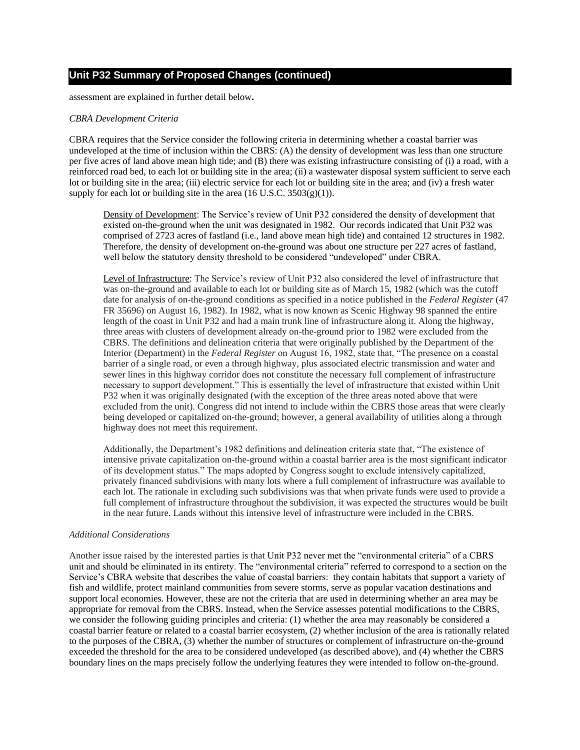assessment are explained in further detail below**.**

#### *CBRA Development Criteria*

CBRA requires that the Service consider the following criteria in determining whether a coastal barrier was undeveloped at the time of inclusion within the CBRS: (A) the density of development was less than one structure per five acres of land above mean high tide; and (B) there was existing infrastructure consisting of (i) a road, with a reinforced road bed, to each lot or building site in the area; (ii) a wastewater disposal system sufficient to serve each lot or building site in the area; (iii) electric service for each lot or building site in the area; and (iv) a fresh water supply for each lot or building site in the area  $(16$  U.S.C.  $3503(g)(1)$ ).

Density of Development: The Service's review of Unit P32 considered the density of development that existed on-the-ground when the unit was designated in 1982. Our records indicated that Unit P32 was comprised of 2723 acres of fastland (i.e., land above mean high tide) and contained 12 structures in 1982. Therefore, the density of development on-the-ground was about one structure per 227 acres of fastland, well below the statutory density threshold to be considered "undeveloped" under CBRA.

Level of Infrastructure: The Service's review of Unit P32 also considered the level of infrastructure that was on-the-ground and available to each lot or building site as of March 15, 1982 (which was the cutoff date for analysis of on-the-ground conditions as specified in a notice published in the *Federal Register* (47 FR 35696) on August 16, 1982). In 1982, what is now known as Scenic Highway 98 spanned the entire length of the coast in Unit P32 and had a main trunk line of infrastructure along it. Along the highway, three areas with clusters of development already on-the-ground prior to 1982 were excluded from the CBRS. The definitions and delineation criteria that were originally published by the Department of the Interior (Department) in the *Federal Register* on August 16, 1982, state that, "The presence on a coastal barrier of a single road, or even a through highway, plus associated electric transmission and water and sewer lines in this highway corridor does not constitute the necessary full complement of infrastructure necessary to support development." This is essentially the level of infrastructure that existed within Unit P32 when it was originally designated (with the exception of the three areas noted above that were excluded from the unit). Congress did not intend to include within the CBRS those areas that were clearly being developed or capitalized on-the-ground; however, a general availability of utilities along a through highway does not meet this requirement.

Additionally, the Department's 1982 definitions and delineation criteria state that, "The existence of intensive private capitalization on-the-ground within a coastal barrier area is the most significant indicator of its development status." The maps adopted by Congress sought to exclude intensively capitalized, privately financed subdivisions with many lots where a full complement of infrastructure was available to each lot. The rationale in excluding such subdivisions was that when private funds were used to provide a full complement of infrastructure throughout the subdivision, it was expected the structures would be built in the near future. Lands without this intensive level of infrastructure were included in the CBRS.

#### *Additional Considerations*

Another issue raised by the interested parties is that Unit P32 never met the "environmental criteria" of a CBRS unit and should be eliminated in its entirety. The "environmental criteria" referred to correspond to a section on the Service's CBRA website that describes the value of coastal barriers: they contain habitats that support a variety of fish and wildlife, protect mainland communities from severe storms, serve as popular vacation destinations and support local economies. However, these are not the criteria that are used in determining whether an area may be appropriate for removal from the CBRS. Instead, when the Service assesses potential modifications to the CBRS, we consider the following guiding principles and criteria: (1) whether the area may reasonably be considered a coastal barrier feature or related to a coastal barrier ecosystem, (2) whether inclusion of the area is rationally related to the purposes of the CBRA, (3) whether the number of structures or complement of infrastructure on-the-ground exceeded the threshold for the area to be considered undeveloped (as described above), and (4) whether the CBRS boundary lines on the maps precisely follow the underlying features they were intended to follow on-the-ground.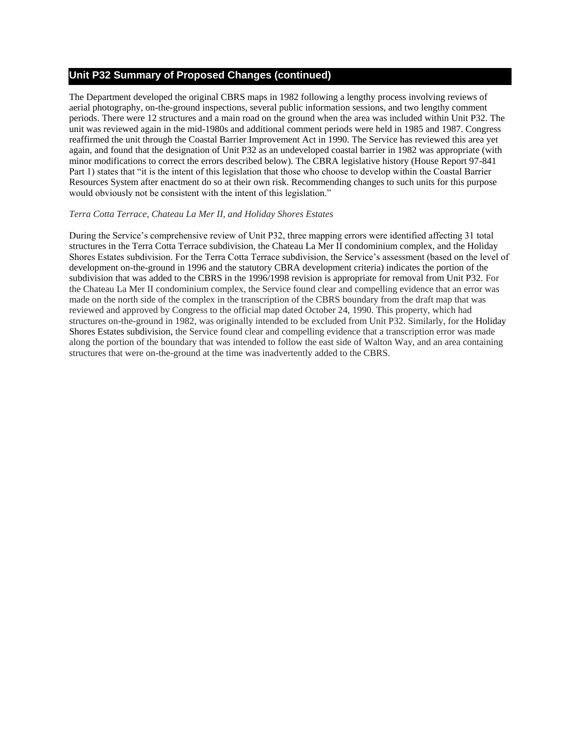The Department developed the original CBRS maps in 1982 following a lengthy process involving reviews of aerial photography, on-the-ground inspections, several public information sessions, and two lengthy comment periods. There were 12 structures and a main road on the ground when the area was included within Unit P32. The unit was reviewed again in the mid-1980s and additional comment periods were held in 1985 and 1987. Congress reaffirmed the unit through the Coastal Barrier Improvement Act in 1990. The Service has reviewed this area yet again, and found that the designation of Unit P32 as an undeveloped coastal barrier in 1982 was appropriate (with minor modifications to correct the errors described below). The CBRA legislative history (House Report 97-841 Part 1) states that "it is the intent of this legislation that those who choose to develop within the Coastal Barrier Resources System after enactment do so at their own risk. Recommending changes to such units for this purpose would obviously not be consistent with the intent of this legislation."

#### *Terra Cotta Terrace, Chateau La Mer II, and Holiday Shores Estates*

During the Service's comprehensive review of Unit P32, three mapping errors were identified affecting 31 total structures in the Terra Cotta Terrace subdivision, the Chateau La Mer II condominium complex, and the Holiday Shores Estates subdivision. For the Terra Cotta Terrace subdivision, the Service's assessment (based on the level of development on-the-ground in 1996 and the statutory CBRA development criteria) indicates the portion of the subdivision that was added to the CBRS in the 1996/1998 revision is appropriate for removal from Unit P32. For the Chateau La Mer II condominium complex, the Service found clear and compelling evidence that an error was made on the north side of the complex in the transcription of the CBRS boundary from the draft map that was reviewed and approved by Congress to the official map dated October 24, 1990. This property, which had structures on-the-ground in 1982, was originally intended to be excluded from Unit P32. Similarly, for the Holiday Shores Estates subdivision, the Service found clear and compelling evidence that a transcription error was made along the portion of the boundary that was intended to follow the east side of Walton Way, and an area containing structures that were on-the-ground at the time was inadvertently added to the CBRS.